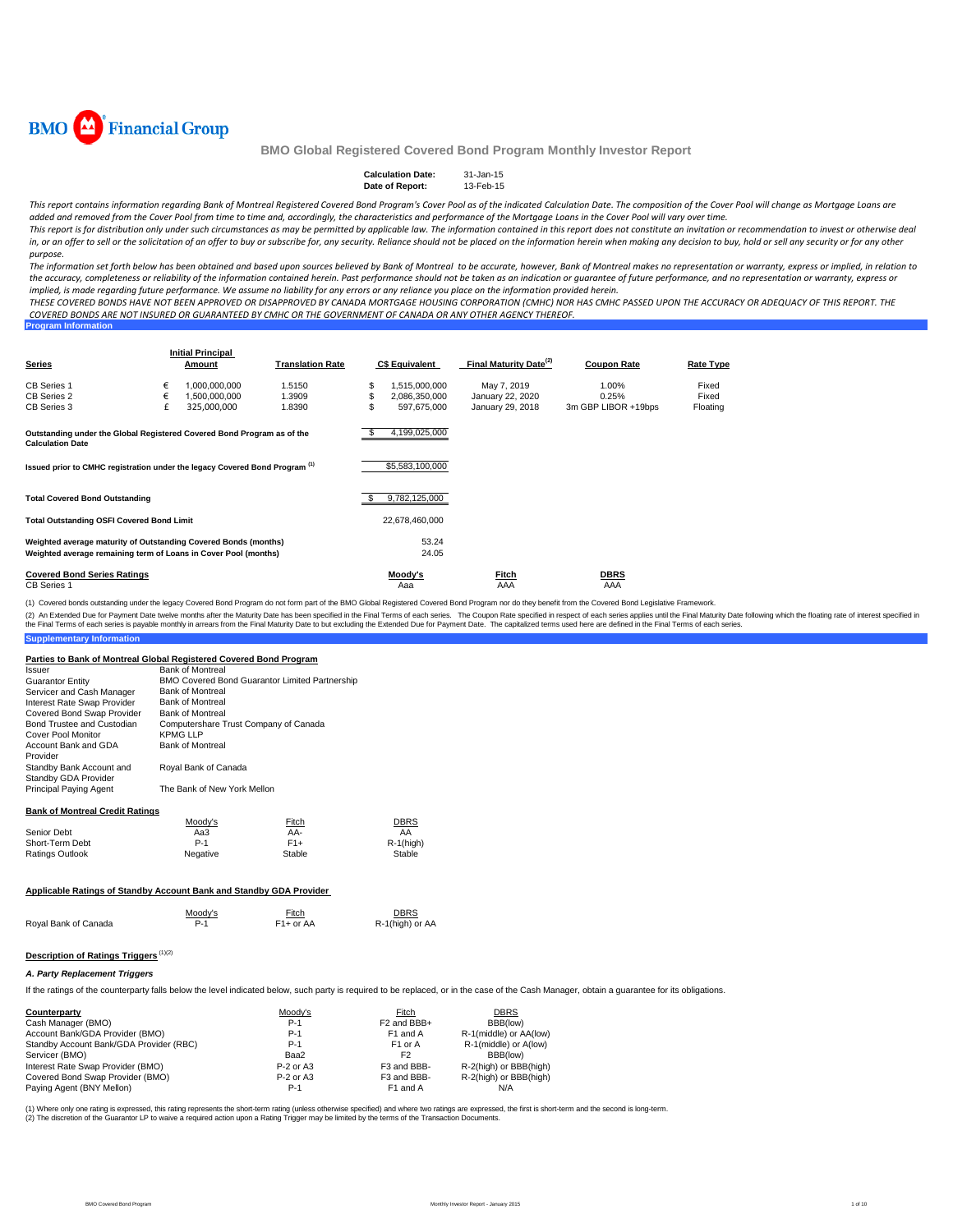

**Program Information**

# **BMO Global Registered Covered Bond Program Monthly Investor Report**

| <b>Calculation Date:</b> | 31-Jan-15 |
|--------------------------|-----------|
| Date of Report:          | 13-Feb-15 |

*This report contains information regarding Bank of Montreal Registered Covered Bond Program's Cover Pool as of the indicated Calculation Date. The composition of the Cover Pool will change as Mortgage Loans are added and removed from the Cover Pool from time to time and, accordingly, the characteristics and performance of the Mortgage Loans in the Cover Pool will vary over time.* This report is for distribution only under such circumstances as may be permitted by applicable law. The information contained in this report does not constitute an invitation or recommendation to invest or otherwise deal

in, or an offer to sell or the solicitation of an offer to buy or subscribe for, any security. Reliance should not be placed on the information herein when making any decision to buy, hold or sell any security or for any o *purpose. The information set forth below has been obtained and based upon sources believed by Bank of Montreal to be accurate, however, Bank of Montreal makes no representation or warranty, express or implied, in relation to* 

*the accuracy, completeness or reliability of the information contained herein. Past performance should not be taken as an indication or guarantee of future performance, and no representation or warranty, express or implied, is made regarding future performance. We assume no liability for any errors or any reliance you place on the information provided herein.*

*THESE COVERED BONDS HAVE NOT BEEN APPROVED OR DISAPPROVED BY CANADA MORTGAGE HOUSING CORPORATION (CMHC) NOR HAS CMHC PASSED UPON THE ACCURACY OR ADEQUACY OF THIS REPORT. THE COVERED BONDS ARE NOT INSURED OR GUARANTEED BY CMHC OR THE GOVERNMENT OF CANADA OR ANY OTHER AGENCY THEREOF.*

| <b>Series</b>                                                                                                                      |        | <b>Initial Principal</b><br>Amount | <b>Translation Rate</b> |    | <b>C\$ Equivalent</b>        | Final Maturity Date <sup>(2)</sup>   | <b>Coupon Rate</b>           | Rate Type         |
|------------------------------------------------------------------------------------------------------------------------------------|--------|------------------------------------|-------------------------|----|------------------------------|--------------------------------------|------------------------------|-------------------|
| CB Series 1                                                                                                                        | €      | 1.000.000.000                      | 1.5150                  | S  | 1,515,000,000                | May 7, 2019                          | 1.00%                        | Fixed             |
| CB Series 2<br>CB Series 3                                                                                                         | €<br>£ | 1,500,000,000<br>325,000,000       | 1.3909<br>1.8390        | ъ. | 2,086,350,000<br>597.675.000 | January 22, 2020<br>January 29, 2018 | 0.25%<br>3m GBP LIBOR +19bps | Fixed<br>Floating |
| Outstanding under the Global Registered Covered Bond Program as of the<br><b>Calculation Date</b>                                  |        |                                    |                         |    | 4,199,025,000                |                                      |                              |                   |
| Issued prior to CMHC registration under the legacy Covered Bond Program <sup>(1)</sup>                                             |        |                                    |                         |    | \$5,583,100,000              |                                      |                              |                   |
| <b>Total Covered Bond Outstanding</b>                                                                                              |        |                                    |                         |    | 9,782,125,000                |                                      |                              |                   |
| <b>Total Outstanding OSFI Covered Bond Limit</b>                                                                                   |        |                                    |                         |    | 22,678,460,000               |                                      |                              |                   |
| Weighted average maturity of Outstanding Covered Bonds (months)<br>Weighted average remaining term of Loans in Cover Pool (months) |        |                                    |                         |    | 53.24<br>24.05               |                                      |                              |                   |
| <b>Covered Bond Series Ratings</b><br>CB Series 1                                                                                  |        |                                    |                         |    | Moody's<br>Aaa               | Fitch<br>AAA                         | DBRS<br>AAA                  |                   |

(1) Covered bonds outstanding under the legacy Covered Bond Program do not form part of the BMO Global Registered Covered Bond Program nor do they benefit from the Covered Bond Legislative Framework.

**Supplementary Information** (2) An Extended Due for Payment Date twelve months after the Maturity Date has been specified in the Final Terms of each series. The Coupon Rate specified in espect of each series applies until the Final Maturity Date foll

## **Parties to Bank of Montreal Global Registered Covered Bond Program**

| Issuer                           | <b>Bank of Montreal</b>                               |
|----------------------------------|-------------------------------------------------------|
| <b>Guarantor Entity</b>          | <b>BMO Covered Bond Guarantor Limited Partnership</b> |
| Servicer and Cash Manager        | <b>Bank of Montreal</b>                               |
| Interest Rate Swap Provider      | <b>Bank of Montreal</b>                               |
| Covered Bond Swap Provider       | <b>Bank of Montreal</b>                               |
| Bond Trustee and Custodian       | Computershare Trust Company of Canada                 |
| Cover Pool Monitor               | <b>KPMG LLP</b>                                       |
| Account Bank and GDA<br>Provider | <b>Bank of Montreal</b>                               |
| Standby Bank Account and         | Royal Bank of Canada                                  |
| Standby GDA Provider             |                                                       |
| Principal Paying Agent           | The Bank of New York Mellon                           |

# **Bank of Montreal Credit Ratings**

|                 | Moody's  | Fitch  | <b>DBRS</b>  |
|-----------------|----------|--------|--------------|
| Senior Debt     | Aa3      | AA-    | AA           |
| Short-Term Debt | $P-1$    | $F1+$  | $R-1$ (high) |
| Ratings Outlook | Negative | Stable | Stable       |

#### **Applicable Ratings of Standby Account Bank and Standby GDA Provider**

|                      | Moodv's | Fitch       | <b>DBRS</b>     |
|----------------------|---------|-------------|-----------------|
| Royal Bank of Canada |         | $F1+$ or AA | R-1(high) or AA |

# **Description of Ratings Triggers** (1)(2)

#### *A. Party Replacement Triggers*

If the ratings of the counterparty falls below the level indicated below, such party is required to be replaced, or in the case of the Cash Manager, obtain a quarantee for its obligations.

| Counterparty                            | Moody's     | Fitch                   | <b>DBRS</b>            |
|-----------------------------------------|-------------|-------------------------|------------------------|
| Cash Manager (BMO)                      | $P-1$       | F <sub>2</sub> and BBB+ | BBB(low)               |
| Account Bank/GDA Provider (BMO)         | $P-1$       | F <sub>1</sub> and A    | R-1(middle) or AA(low) |
| Standby Account Bank/GDA Provider (RBC) | $P-1$       | F <sub>1</sub> or A     | R-1(middle) or A(low)  |
| Servicer (BMO)                          | Baa2        | F2                      | BBB(low)               |
| Interest Rate Swap Provider (BMO)       | P-2 or A3   | F3 and BBB-             | R-2(high) or BBB(high) |
| Covered Bond Swap Provider (BMO)        | $P-2$ or A3 | F3 and BBB-             | R-2(high) or BBB(high) |
| Paying Agent (BNY Mellon)               | P-1         | F <sub>1</sub> and A    | N/A                    |

(1) Where only one rating is expressed, this rating represents the short-term rating (unless otherwise specified) and where two ratings are expressed, the first is short-term and the second is long-term.<br>(2) The discretion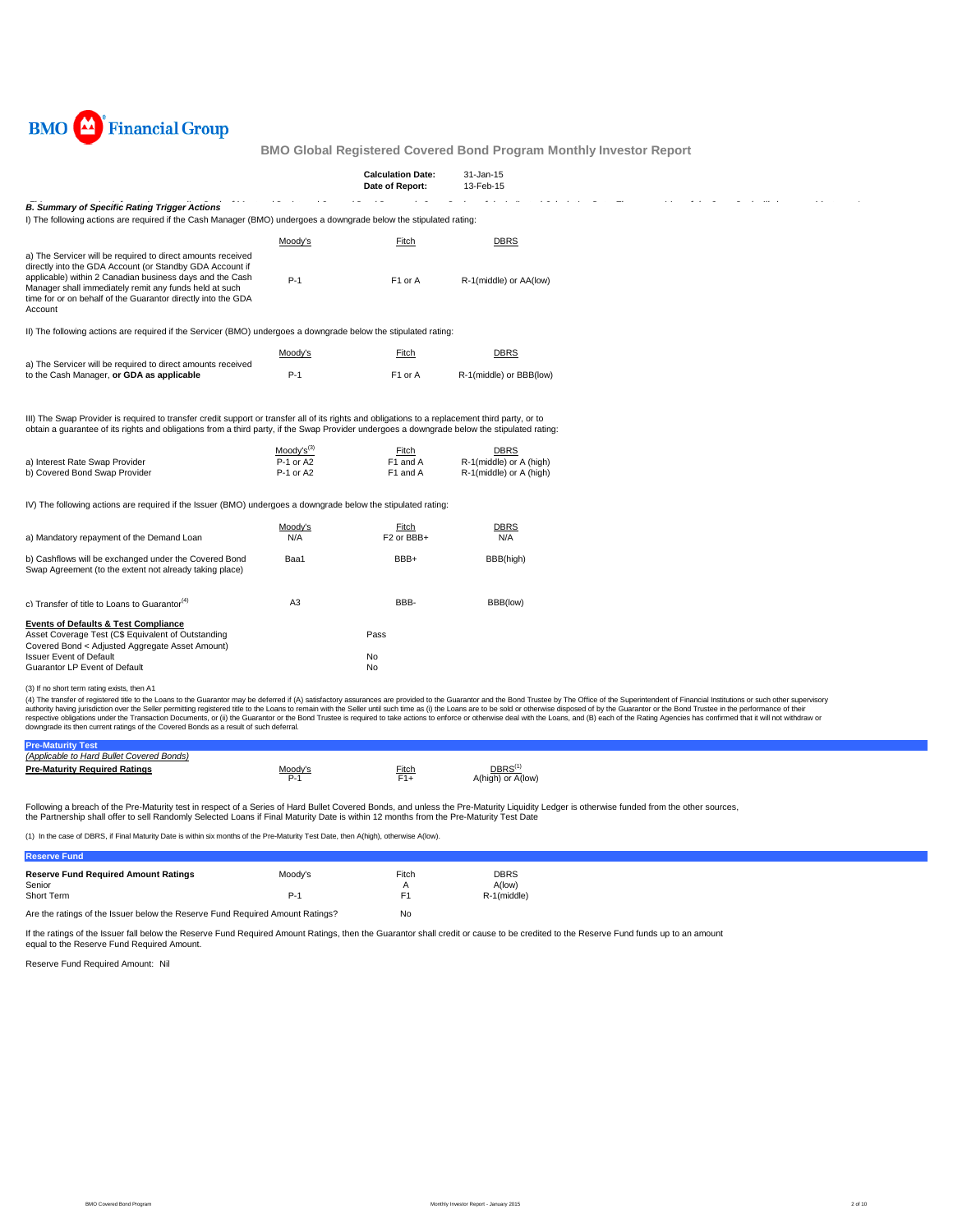

|                                                                                                                                                                                                                                                                                                                                                                    |                                          | <b>Calculation Date:</b><br>Date of Report: | 31-Jan-15<br>13-Feb-15                                            |                                                                                                                                                                                                                                                                                                                                                                                                                                                                                                                                                                                                                                                                                                    |
|--------------------------------------------------------------------------------------------------------------------------------------------------------------------------------------------------------------------------------------------------------------------------------------------------------------------------------------------------------------------|------------------------------------------|---------------------------------------------|-------------------------------------------------------------------|----------------------------------------------------------------------------------------------------------------------------------------------------------------------------------------------------------------------------------------------------------------------------------------------------------------------------------------------------------------------------------------------------------------------------------------------------------------------------------------------------------------------------------------------------------------------------------------------------------------------------------------------------------------------------------------------------|
| <b>B. Summary of Specific Rating Trigger Actions</b><br>I) The following actions are required if the Cash Manager (BMO) undergoes a downgrade below the stipulated rating:                                                                                                                                                                                         |                                          |                                             |                                                                   |                                                                                                                                                                                                                                                                                                                                                                                                                                                                                                                                                                                                                                                                                                    |
|                                                                                                                                                                                                                                                                                                                                                                    | Moody's                                  | Fitch                                       | <b>DBRS</b>                                                       |                                                                                                                                                                                                                                                                                                                                                                                                                                                                                                                                                                                                                                                                                                    |
| a) The Servicer will be required to direct amounts received<br>directly into the GDA Account (or Standby GDA Account if<br>applicable) within 2 Canadian business days and the Cash<br>Manager shall immediately remit any funds held at such<br>time for or on behalf of the Guarantor directly into the GDA<br>Account                                           | $P-1$                                    | F <sub>1</sub> or A                         | R-1(middle) or AA(low)                                            |                                                                                                                                                                                                                                                                                                                                                                                                                                                                                                                                                                                                                                                                                                    |
| II) The following actions are required if the Servicer (BMO) undergoes a downgrade below the stipulated rating:                                                                                                                                                                                                                                                    |                                          |                                             |                                                                   |                                                                                                                                                                                                                                                                                                                                                                                                                                                                                                                                                                                                                                                                                                    |
|                                                                                                                                                                                                                                                                                                                                                                    | Moody's                                  | Fitch                                       | <b>DBRS</b>                                                       |                                                                                                                                                                                                                                                                                                                                                                                                                                                                                                                                                                                                                                                                                                    |
| a) The Servicer will be required to direct amounts received<br>to the Cash Manager, or GDA as applicable                                                                                                                                                                                                                                                           | $P-1$                                    | F <sub>1</sub> or A                         | R-1(middle) or BBB(low)                                           |                                                                                                                                                                                                                                                                                                                                                                                                                                                                                                                                                                                                                                                                                                    |
| III) The Swap Provider is required to transfer credit support or transfer all of its rights and obligations to a replacement third party, or to<br>obtain a guarantee of its rights and obligations from a third party, if the Swap Provider undergoes a downgrade below the stipulated rating:<br>a) Interest Rate Swap Provider<br>b) Covered Bond Swap Provider | $Modv's^{(3)}$<br>P-1 or A2<br>P-1 or A2 | Fitch<br>F1 and A<br>F1 and A               | <b>DBRS</b><br>R-1(middle) or A (high)<br>R-1(middle) or A (high) |                                                                                                                                                                                                                                                                                                                                                                                                                                                                                                                                                                                                                                                                                                    |
| IV) The following actions are required if the Issuer (BMO) undergoes a downgrade below the stipulated rating:                                                                                                                                                                                                                                                      |                                          |                                             |                                                                   |                                                                                                                                                                                                                                                                                                                                                                                                                                                                                                                                                                                                                                                                                                    |
|                                                                                                                                                                                                                                                                                                                                                                    | Moody's                                  | Fitch                                       | <b>DBRS</b>                                                       |                                                                                                                                                                                                                                                                                                                                                                                                                                                                                                                                                                                                                                                                                                    |
| a) Mandatory repayment of the Demand Loan                                                                                                                                                                                                                                                                                                                          | N/A                                      | F <sub>2</sub> or BBB+                      | N/A                                                               |                                                                                                                                                                                                                                                                                                                                                                                                                                                                                                                                                                                                                                                                                                    |
| b) Cashflows will be exchanged under the Covered Bond<br>Swap Agreement (to the extent not already taking place)                                                                                                                                                                                                                                                   | Baa1                                     | BBB+                                        | BBB(high)                                                         |                                                                                                                                                                                                                                                                                                                                                                                                                                                                                                                                                                                                                                                                                                    |
| c) Transfer of title to Loans to Guarantor <sup>(4)</sup>                                                                                                                                                                                                                                                                                                          | A <sub>3</sub>                           | BBB-                                        | BBB(low)                                                          |                                                                                                                                                                                                                                                                                                                                                                                                                                                                                                                                                                                                                                                                                                    |
| <b>Events of Defaults &amp; Test Compliance</b><br>Asset Coverage Test (C\$ Equivalent of Outstanding<br>Covered Bond < Adjusted Aggregate Asset Amount)<br><b>Issuer Event of Default</b><br>Guarantor LP Event of Default                                                                                                                                        |                                          | Pass<br>No<br>No                            |                                                                   |                                                                                                                                                                                                                                                                                                                                                                                                                                                                                                                                                                                                                                                                                                    |
| (3) If no short term rating exists, then A1                                                                                                                                                                                                                                                                                                                        |                                          |                                             |                                                                   |                                                                                                                                                                                                                                                                                                                                                                                                                                                                                                                                                                                                                                                                                                    |
|                                                                                                                                                                                                                                                                                                                                                                    |                                          |                                             |                                                                   | (4) The transfer of registered title to the Loans to the Guarantor may be deferred if (A) satisfactory assurances are provided to the Guarantor and the Bond Trustee by The Office of the Superintendent of Financial Institut<br>authority having jurisdiction over the Seller permitting registered title to the Loans to remain with the Seller until such time as (i) the Loans are to be sold or otherwise disposed of by the Guarantor or the Bond Trustee<br>respective obligations under the Transaction Documents, or (ii) the Guarantor or the Bond Trustee is required to take actions to enforce or otherwise deal with the Loans, and (B) each of the Rating Agencies has confirmed t |

downgrade its then current ratings of the Covered Bonds as a result of such deferral.

| (Applicable to Hard Bullet Covered Bonds) |                |       |                                   |  |
|-------------------------------------------|----------------|-------|-----------------------------------|--|
| <b>Pre-Maturity Required Ratings</b>      | <u>Moody's</u> | Fitch | $DBRS^{(1)}$<br>A(high) or A(low) |  |

Following a breach of the Pre-Maturity test in respect of a Series of Hard Bullet Covered Bonds, and unless the Pre-Maturity Liquidity Ledger is otherwise funded from the other sources,<br>the Partnership shall offer to sell

(1) In the case of DBRS, if Final Maturity Date is within six months of the Pre-Maturity Test Date, then A(high), otherwise A(low).

| <b>Reserve Fund</b>                                                           |         |       |             |
|-------------------------------------------------------------------------------|---------|-------|-------------|
| <b>Reserve Fund Required Amount Ratings</b>                                   | Moody's | Fitch | DBRS        |
| Senior                                                                        |         | А     | A(low)      |
| Short Term                                                                    | P-1     | F1    | R-1(middle) |
| Are the ratings of the Issuer below the Reserve Fund Required Amount Ratings? |         | No    |             |

If the ratings of the Issuer fall below the Reserve Fund Required Amount Ratings, then the Guarantor shall credit or cause to be credited to the Reserve Fund funds up to an amount equal to the Reserve Fund Required Amount.

Reserve Fund Required Amount: Nil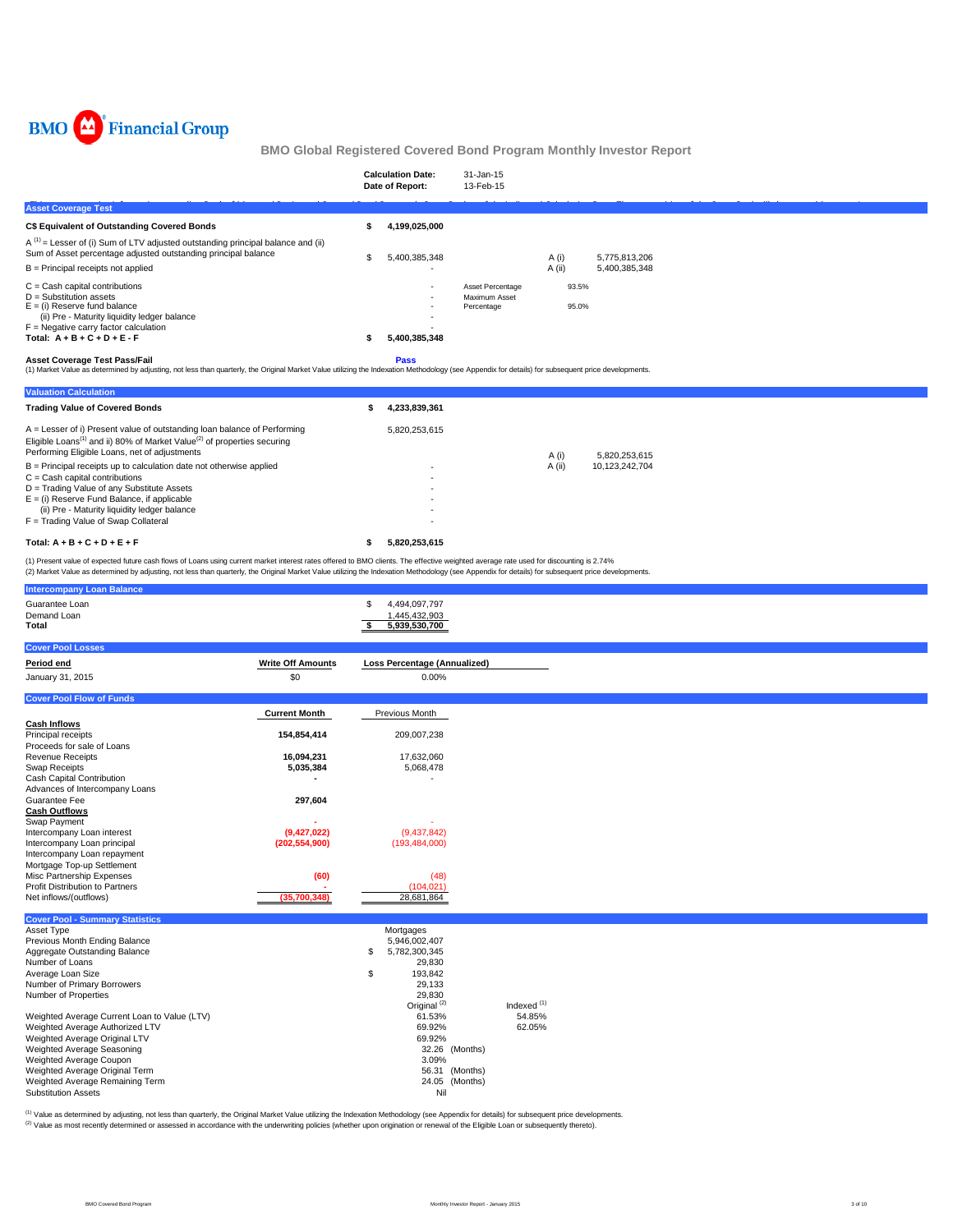

|                                                                                                                                                                                                                                           |     | <b>Calculation Date:</b><br>Date of Report: | 31-Jan-15<br>13-Feb-15                          |                 |                                |  |
|-------------------------------------------------------------------------------------------------------------------------------------------------------------------------------------------------------------------------------------------|-----|---------------------------------------------|-------------------------------------------------|-----------------|--------------------------------|--|
| <b>Asset Coverage Test</b>                                                                                                                                                                                                                |     |                                             |                                                 |                 |                                |  |
| <b>C\$ Equivalent of Outstanding Covered Bonds</b>                                                                                                                                                                                        |     | 4,199,025,000                               |                                                 |                 |                                |  |
| $A^{(1)}$ = Lesser of (i) Sum of LTV adjusted outstanding principal balance and (ii)<br>Sum of Asset percentage adjusted outstanding principal balance<br>$B =$ Principal receipts not applied                                            | \$. | 5,400,385,348                               |                                                 | A (i)<br>A (ii) | 5,775,813,206<br>5,400,385,348 |  |
| $C =$ Cash capital contributions<br>$D =$ Substitution assets<br>$E =$ (i) Reserve fund balance<br>(ii) Pre - Maturity liquidity ledger balance<br>$F =$ Negative carry factor calculation<br>Total: $A + B + C + D + E - F$              | ж   | $\sim$<br>5,400,385,348                     | Asset Percentage<br>Maximum Asset<br>Percentage | 93.5%<br>95.0%  |                                |  |
| <b>Asset Coverage Test Pass/Fail</b><br>(4) Market Value as determined by adjusting, not loss than quarterly, the Original Market Value utilizing the Indevation Methodology (see Annondiy for details) for subsequent price developments |     | <b>Pass</b>                                 |                                                 |                 |                                |  |

et Value as determined by adjusting, not less than quarterly, the Original Market Value utilizing the Indexation Methodology (see Appendix for details) for subsequent price deve

| <b>Valuation Calculation</b>                                                                                                                                                                                                   |               |        |                |
|--------------------------------------------------------------------------------------------------------------------------------------------------------------------------------------------------------------------------------|---------------|--------|----------------|
| <b>Trading Value of Covered Bonds</b>                                                                                                                                                                                          | 4,233,839,361 |        |                |
| $A =$ Lesser of i) Present value of outstanding loan balance of Performing<br>Eligible Loans <sup>(1)</sup> and ii) 80% of Market Value <sup>(2)</sup> of properties securing<br>Performing Eligible Loans, net of adjustments | 5.820.253.615 | A (i)  | 5.820.253.615  |
| $B =$ Principal receipts up to calculation date not otherwise applied                                                                                                                                                          |               | A (ii) | 10,123,242,704 |
| $C =$ Cash capital contributions                                                                                                                                                                                               |               |        |                |
| D = Trading Value of any Substitute Assets                                                                                                                                                                                     |               |        |                |
| $E =$ (i) Reserve Fund Balance, if applicable                                                                                                                                                                                  |               |        |                |
| (ii) Pre - Maturity liquidity ledger balance                                                                                                                                                                                   | ٠             |        |                |
| F = Trading Value of Swap Collateral                                                                                                                                                                                           |               |        |                |
| Total: $A + B + C + D + E + F$                                                                                                                                                                                                 | 5.820.253.615 |        |                |

(1) Present value of expected future cash flows of Loans using current market interest rates offered to BMO clients. The effective weighted average rate used for discounting is 2.74%<br>(2) Market Value as determined by adjus

| <b>Intercompany Loan Balance</b>                                                                                                                                                                                                                                                                                                                                                                                                                            |                                |                                                                                                                                                                                                                                 |                                            |  |  |
|-------------------------------------------------------------------------------------------------------------------------------------------------------------------------------------------------------------------------------------------------------------------------------------------------------------------------------------------------------------------------------------------------------------------------------------------------------------|--------------------------------|---------------------------------------------------------------------------------------------------------------------------------------------------------------------------------------------------------------------------------|--------------------------------------------|--|--|
| Guarantee Loan<br>Demand Loan<br>Total                                                                                                                                                                                                                                                                                                                                                                                                                      |                                | 4,494,097,797<br>\$<br>1,445,432,903<br>5,939,530,700<br>\$                                                                                                                                                                     |                                            |  |  |
| <b>Cover Pool Losses</b>                                                                                                                                                                                                                                                                                                                                                                                                                                    |                                |                                                                                                                                                                                                                                 |                                            |  |  |
| Period end                                                                                                                                                                                                                                                                                                                                                                                                                                                  | <b>Write Off Amounts</b>       | <b>Loss Percentage (Annualized)</b>                                                                                                                                                                                             |                                            |  |  |
| January 31, 2015                                                                                                                                                                                                                                                                                                                                                                                                                                            | \$0                            | 0.00%                                                                                                                                                                                                                           |                                            |  |  |
| <b>Cover Pool Flow of Funds</b>                                                                                                                                                                                                                                                                                                                                                                                                                             |                                |                                                                                                                                                                                                                                 |                                            |  |  |
|                                                                                                                                                                                                                                                                                                                                                                                                                                                             | <b>Current Month</b>           | Previous Month                                                                                                                                                                                                                  |                                            |  |  |
| <b>Cash Inflows</b><br>Principal receipts<br>Proceeds for sale of Loans                                                                                                                                                                                                                                                                                                                                                                                     | 154,854,414                    | 209,007,238                                                                                                                                                                                                                     |                                            |  |  |
| <b>Revenue Receipts</b><br><b>Swap Receipts</b><br>Cash Capital Contribution                                                                                                                                                                                                                                                                                                                                                                                | 16,094,231<br>5,035,384        | 17,632,060<br>5,068,478                                                                                                                                                                                                         |                                            |  |  |
| Advances of Intercompany Loans<br>Guarantee Fee<br><b>Cash Outflows</b><br>Swap Payment                                                                                                                                                                                                                                                                                                                                                                     | 297,604                        |                                                                                                                                                                                                                                 |                                            |  |  |
| Intercompany Loan interest<br>Intercompany Loan principal<br>Intercompany Loan repayment                                                                                                                                                                                                                                                                                                                                                                    | (9,427,022)<br>(202, 554, 900) | (9,437,842)<br>(193, 484, 000)                                                                                                                                                                                                  |                                            |  |  |
| Mortgage Top-up Settlement<br>Misc Partnership Expenses<br>Profit Distribution to Partners<br>Net inflows/(outflows)                                                                                                                                                                                                                                                                                                                                        | (60)<br>(35,700,348)           | (48)<br>(104, 021)<br>28,681,864                                                                                                                                                                                                |                                            |  |  |
| <b>Cover Pool - Summary Statistics</b>                                                                                                                                                                                                                                                                                                                                                                                                                      |                                |                                                                                                                                                                                                                                 |                                            |  |  |
| Asset Type<br>Previous Month Ending Balance<br>Aggregate Outstanding Balance<br>Number of Loans<br>Average Loan Size<br>Number of Primary Borrowers<br>Number of Properties<br>Weighted Average Current Loan to Value (LTV)<br>Weighted Average Authorized LTV<br>Weighted Average Original LTV<br>Weighted Average Seasoning<br>Weighted Average Coupon<br>Weighted Average Original Term<br>Weighted Average Remaining Term<br><b>Substitution Assets</b> |                                | Mortgages<br>5,946,002,407<br>\$<br>5,782,300,345<br>29,830<br>\$<br>193,842<br>29.133<br>29,830<br>Original <sup>(2)</sup><br>61.53%<br>69.92%<br>69.92%<br>32.26 (Months)<br>3.09%<br>56.31 (Months)<br>24.05 (Months)<br>Nil | Indexed <sup>(1)</sup><br>54.85%<br>62.05% |  |  |

<sup>(1)</sup> Value as determined by adjusting, not less than quarterly, the Original Market Value utilizing the Indexation Methodology (see Appendix for details) for subsequent price developments.<br><sup>(2)</sup> Value as most recently det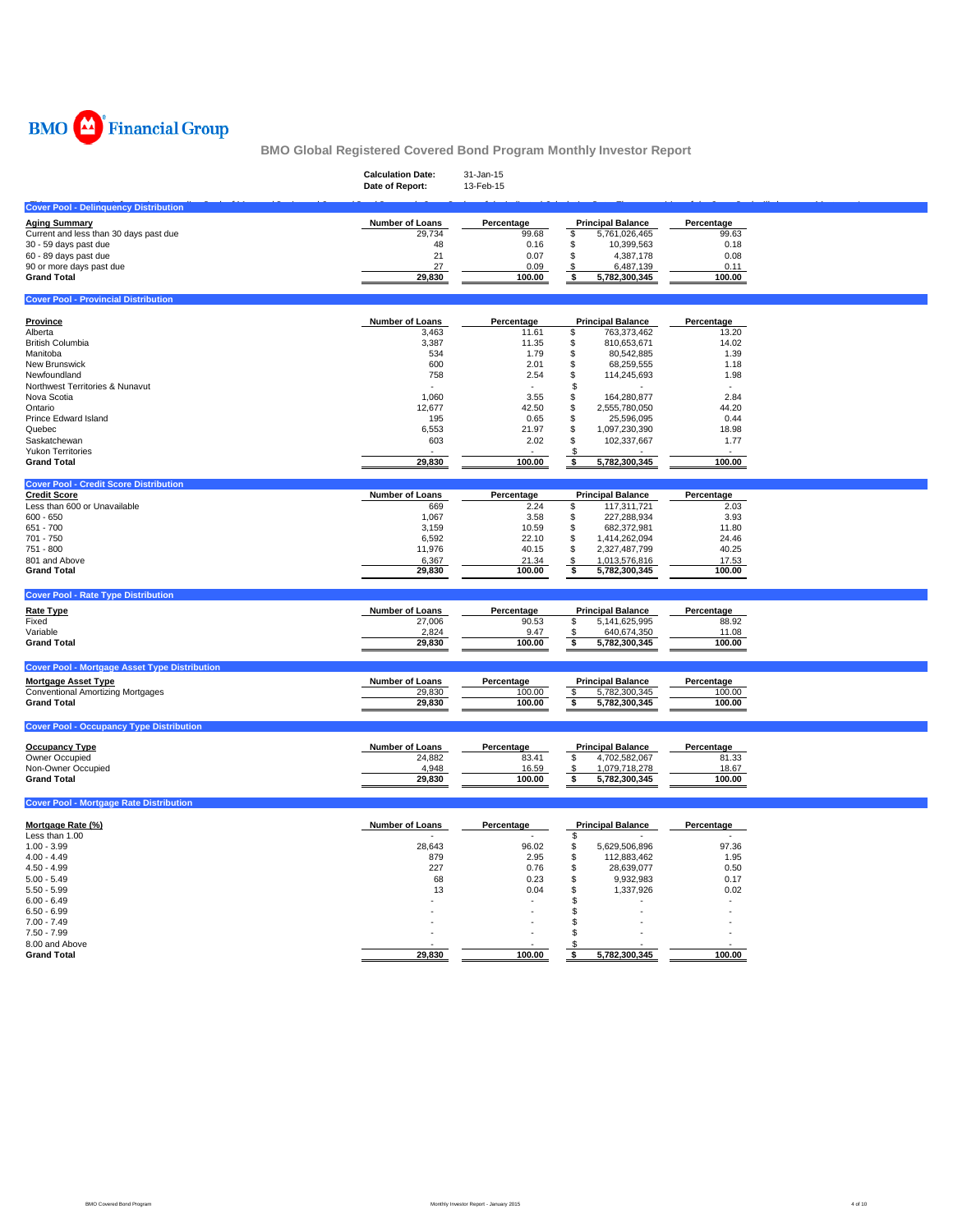

|                                                      | <b>Calculation Date:</b><br>Date of Report: | 31-Jan-15<br>13-Feb-15 |                                       |                |  |
|------------------------------------------------------|---------------------------------------------|------------------------|---------------------------------------|----------------|--|
| <b>Cover Pool - Delinquency Distribution</b>         |                                             |                        |                                       |                |  |
| <b>Aging Summary</b>                                 | Number of Loans                             | Percentage             | <b>Principal Balance</b>              | Percentage     |  |
| Current and less than 30 days past due               | 29,734                                      | 99.68                  | \$<br>5,761,026,465                   | 99.63          |  |
| 30 - 59 days past due                                | 48                                          | 0.16                   | \$<br>10,399,563                      | 0.18           |  |
| 60 - 89 days past due                                | 21                                          | 0.07                   | \$<br>4,387,178                       | 0.08           |  |
| 90 or more days past due<br><b>Grand Total</b>       | 27<br>29,830                                | 0.09<br>100.00         | S<br>6,487,139<br>\$<br>5,782,300,345 | 0.11<br>100.00 |  |
|                                                      |                                             |                        |                                       |                |  |
| <b>Cover Pool - Provincial Distribution</b>          |                                             |                        |                                       |                |  |
| Province                                             | Number of Loans                             | Percentage             | <b>Principal Balance</b>              | Percentage     |  |
| Alberta                                              | 3,463                                       | 11.61                  | \$<br>763,373,462                     | 13.20          |  |
| <b>British Columbia</b>                              | 3,387                                       | 11.35                  | \$<br>810,653,671                     | 14.02          |  |
| Manitoba                                             | 534                                         | 1.79                   | \$<br>80,542,885<br>\$                | 1.39           |  |
| New Brunswick<br>Newfoundland                        | 600<br>758                                  | 2.01<br>2.54           | 68,259,555<br>\$                      | 1.18           |  |
| Northwest Territories & Nunavut                      |                                             | $\sim$                 | 114,245,693<br>\$                     | 1.98           |  |
| Nova Scotia                                          | 1,060                                       | 3.55                   | \$<br>164,280,877                     | 2.84           |  |
| Ontario                                              | 12,677                                      | 42.50                  | \$<br>2,555,780,050                   | 44.20          |  |
| Prince Edward Island                                 | 195                                         | 0.65                   | \$<br>25,596,095                      | 0.44           |  |
| Quebec                                               | 6,553                                       | 21.97                  | \$<br>1,097,230,390                   | 18.98          |  |
| Saskatchewan                                         | 603                                         | 2.02                   | $\ddot{\$}$<br>102,337,667            | 1.77           |  |
| <b>Yukon Territories</b>                             |                                             |                        | \$                                    |                |  |
| <b>Grand Total</b>                                   | 29,830                                      | 100.00                 | 5,782,300,345<br>\$                   | 100.00         |  |
| <b>Cover Pool - Credit Score Distribution</b>        |                                             |                        |                                       |                |  |
| <b>Credit Score</b>                                  | Number of Loans                             | Percentage             | <b>Principal Balance</b>              | Percentage     |  |
| Less than 600 or Unavailable                         | 669                                         | 2.24                   | \$<br>117,311,721                     | 2.03           |  |
| $600 - 650$                                          | 1,067                                       | 3.58                   | \$<br>227,288,934                     | 3.93           |  |
| 651 - 700                                            | 3,159                                       | 10.59                  | \$<br>682,372,981                     | 11.80          |  |
| 701 - 750                                            | 6,592                                       | 22.10                  | \$<br>1,414,262,094                   | 24.46          |  |
| 751 - 800                                            | 11,976                                      | 40.15                  | \$<br>2,327,487,799                   | 40.25          |  |
| 801 and Above                                        | 6,367                                       | 21.34                  | 1,013,576,816<br>\$                   | 17.53          |  |
| <b>Grand Total</b>                                   | 29,830                                      | 100.00                 | \$<br>5,782,300,345                   | 100.00         |  |
| <b>Cover Pool - Rate Type Distribution</b>           |                                             |                        |                                       |                |  |
| <b>Rate Type</b>                                     | Number of Loans                             | Percentage             | <b>Principal Balance</b>              | Percentage     |  |
| Fixed                                                | 27,006                                      | 90.53                  | 5, 141, 625, 995<br>\$                | 88.92          |  |
| Variable                                             | 2,824                                       | 9.47                   | 640,674,350<br>-\$                    | 11.08          |  |
| <b>Grand Total</b>                                   | 29,830                                      | 100.00                 | \$<br>5,782,300,345                   | 100.00         |  |
| <b>Cover Pool - Mortgage Asset Type Distribution</b> |                                             |                        |                                       |                |  |
| <b>Mortgage Asset Type</b>                           | <b>Number of Loans</b>                      | Percentage             | <b>Principal Balance</b>              | Percentage     |  |
| <b>Conventional Amortizing Mortgages</b>             | 29,830                                      | 100.00                 | -\$<br>5,782,300,345                  | 100.00         |  |
| <b>Grand Total</b>                                   | 29,830                                      | 100.00                 | \$<br>5,782,300,345                   | 100.00         |  |
|                                                      |                                             |                        |                                       |                |  |
| <b>Cover Pool - Occupancy Type Distribution</b>      |                                             |                        |                                       |                |  |
| <b>Occupancy Type</b>                                | Number of Loans                             | Percentage             | <b>Principal Balance</b>              | Percentage     |  |
| Owner Occupied                                       | 24,882                                      | 83.41                  | \$<br>4,702,582,067                   | 81.33          |  |
| Non-Owner Occupied                                   | 4,948                                       | 16.59                  | 1,079,718,278<br>\$                   | 18.67          |  |
| <b>Grand Total</b>                                   | 29,830                                      | 100.00                 | 5,782,300,345<br>\$                   | 100.00         |  |
| <b>Cover Pool - Mortgage Rate Distribution</b>       |                                             |                        |                                       |                |  |
|                                                      |                                             |                        |                                       |                |  |
| Mortgage Rate (%)<br>Less than 1.00                  | <b>Number of Loans</b>                      | Percentage             | <b>Principal Balance</b><br>\$        | Percentage     |  |
| $1.00 - 3.99$                                        | 28.643                                      | 96.02                  | 5,629,506,896                         | 97.36          |  |
| $4.00 - 4.49$                                        | 879                                         | 2.95                   | \$<br>\$<br>112,883,462               | 1.95           |  |
| $4.50 - 4.99$                                        | 227                                         | 0.76                   | \$<br>28,639,077                      | 0.50           |  |
| $5.00 - 5.49$                                        | 68                                          | 0.23                   | \$<br>9,932,983                       | 0.17           |  |
| $5.50 - 5.99$                                        | 13                                          | 0.04                   | \$<br>1,337,926                       | 0.02           |  |
| $6.00 - 6.49$                                        |                                             |                        | S                                     |                |  |
| $6.50 - 6.99$                                        |                                             |                        | S                                     |                |  |
| $7.00 - 7.49$                                        |                                             |                        | -S                                    |                |  |
| $7.50 - 7.99$                                        |                                             |                        | \$                                    |                |  |
| 8.00 and Above                                       |                                             |                        |                                       |                |  |
| <b>Grand Total</b>                                   | 29,830                                      | 100.00                 | 5,782,300,345<br>\$                   | 100.00         |  |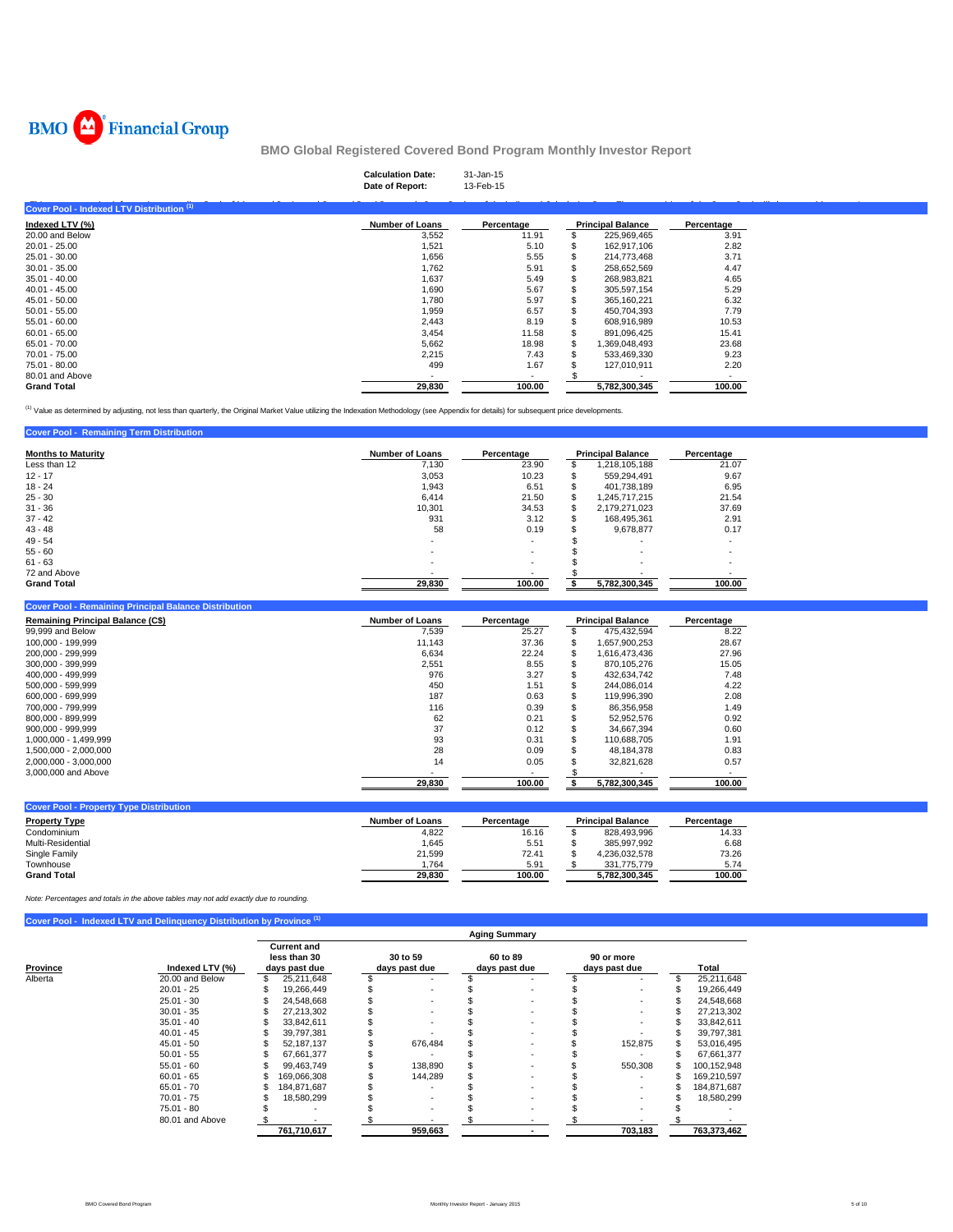

|                                           | <b>Calculation Date:</b><br>Date of Report: | 31-Jan-15<br>13-Feb-15 |                          |            |  |
|-------------------------------------------|---------------------------------------------|------------------------|--------------------------|------------|--|
| Cover Pool - Indexed LTV Distribution (1) |                                             |                        |                          |            |  |
| Indexed LTV (%)                           | <b>Number of Loans</b>                      | Percentage             | <b>Principal Balance</b> | Percentage |  |
| 20.00 and Below                           | 3,552                                       | 11.91                  | 225,969,465              | 3.91       |  |
| $20.01 - 25.00$                           | 1,521                                       | 5.10                   | 162,917,106              | 2.82       |  |
| 25.01 - 30.00                             | 1,656                                       | 5.55                   | 214,773,468              | 3.71       |  |
| $30.01 - 35.00$                           | 1,762                                       | 5.91                   | 258,652,569              | 4.47       |  |
| $35.01 - 40.00$                           | 1,637                                       | 5.49                   | 268,983,821              | 4.65       |  |
| $40.01 - 45.00$                           | 1,690                                       | 5.67                   | 305,597,154              | 5.29       |  |
| $45.01 - 50.00$                           | 1,780                                       | 5.97                   | 365,160,221              | 6.32       |  |
| $50.01 - 55.00$                           | 1,959                                       | 6.57                   | 450,704,393              | 7.79       |  |
| $55.01 - 60.00$                           | 2,443                                       | 8.19                   | 608,916,989              | 10.53      |  |
| $60.01 - 65.00$                           | 3,454                                       | 11.58                  | 891,096,425              | 15.41      |  |
| 65.01 - 70.00                             | 5,662                                       | 18.98                  | 1,369,048,493            | 23.68      |  |
| 70.01 - 75.00                             | 2,215                                       | 7.43                   | 533,469,330              | 9.23       |  |
| 75.01 - 80.00                             | 499                                         | 1.67                   | 127,010,911              | 2.20       |  |
| 80.01 and Above                           | $\overline{\phantom{a}}$                    | $\sim$                 |                          | $\sim$     |  |
| <b>Grand Total</b>                        | 29,830                                      | 100.00                 | 5,782,300,345            | 100.00     |  |

<sup>(1)</sup> Value as determined by adjusting, not less than quarterly, the Original Market Value utilizing the Indexation Methodology (see Appendix for details) for subsequent price developments.

| <b>Cover Pool - Remaining Term Distribution</b> |                        |                          |    |                          |            |
|-------------------------------------------------|------------------------|--------------------------|----|--------------------------|------------|
| <b>Months to Maturity</b>                       | <b>Number of Loans</b> | Percentage               |    | <b>Principal Balance</b> | Percentage |
| Less than 12                                    | 7.130                  | 23.90                    |    | 1.218.105.188            | 21.07      |
| $12 - 17$                                       | 3.053                  | 10.23                    | ъ  | 559,294,491              | 9.67       |
| $18 - 24$                                       | 1.943                  | 6.51                     |    | 401.738.189              | 6.95       |
| $25 - 30$                                       | 6.414                  | 21.50                    | \$ | 1.245.717.215            | 21.54      |
| $31 - 36$                                       | 10.301                 | 34.53                    | \$ | 2.179.271.023            | 37.69      |
| $37 - 42$                                       | 931                    | 3.12                     | S. | 168.495.361              | 2.91       |
| $43 - 48$                                       | 58                     | 0.19                     |    | 9,678,877                | 0.17       |
| $49 - 54$                                       | ۰.                     | $\overline{\phantom{a}}$ |    |                          |            |
| $55 - 60$                                       |                        | $\overline{\phantom{a}}$ |    |                          |            |
| $61 - 63$                                       |                        | $\overline{\phantom{a}}$ |    | ۰                        |            |
| 72 and Above                                    |                        |                          |    |                          |            |
| <b>Grand Total</b>                              | 29.830                 | 100.00                   |    | 5,782,300,345            | 100.00     |

#### **Cover Pool - Remaining Principal Balance Distribution**

| <b>Remaining Principal Balance (CS)</b> | <b>Number of Loans</b> | Percentage | <b>Principal Balance</b> | Percentage |
|-----------------------------------------|------------------------|------------|--------------------------|------------|
| 99,999 and Below                        | 7.539                  | 25.27      | 475.432.594              | 8.22       |
| 100.000 - 199.999                       | 11.143                 | 37.36      | 1.657.900.253            | 28.67      |
| 200.000 - 299.999                       | 6,634                  | 22.24      | 1,616,473,436            | 27.96      |
| 300.000 - 399.999                       | 2,551                  | 8.55       | 870.105.276              | 15.05      |
| 400.000 - 499.999                       | 976                    | 3.27       | 432.634.742              | 7.48       |
| 500.000 - 599.999                       | 450                    | 1.51       | 244.086.014              | 4.22       |
| 600.000 - 699.999                       | 187                    | 0.63       | 119.996.390              | 2.08       |
| 700.000 - 799.999                       | 116                    | 0.39       | 86.356.958               | 1.49       |
| 800.000 - 899.999                       | 62                     | 0.21       | 52.952.576               | 0.92       |
| $900.000 - 999.999$                     | 37                     | 0.12       | 34.667.394               | 0.60       |
| 1.000.000 - 1.499.999                   | 93                     | 0.31       | 110.688.705              | 1.91       |
| 1.500.000 - 2.000.000                   | 28                     | 0.09       | 48.184.378               | 0.83       |
| 2.000.000 - 3.000.000                   | 14                     | 0.05       | 32.821.628               | 0.57       |
| 3,000,000 and Above                     |                        |            |                          |            |
|                                         | 29.830                 | 100.00     | 5.782.300.345            | 100.00     |

| <b>Cover Pool - Property Type Distribution</b> |                 |            |                          |            |
|------------------------------------------------|-----------------|------------|--------------------------|------------|
| <b>Property Type</b>                           | Number of Loans | Percentage | <b>Principal Balance</b> | Percentage |
| Condominium                                    | 4,822           | 16.16      | 828.493.996              | 14.33      |
| Multi-Residential                              | 1.645           | 5.51       | 385.997.992              | 6.68       |
| Single Family                                  | 21.599          | 72.41      | 4.236.032.578            | 73.26      |
| Townhouse                                      | .764            | 5.91       | 331.775.779              | 5.74       |
| <b>Grand Total</b>                             | 29.830          | 100.00     | 5.782.300.345            | 100.00     |

*Note: Percentages and totals in the above tables may not add exactly due to rounding.*

## **Cover Pool - Indexed LTV and Delinquency Distribution by Province <b>7**

|                             |                 | <b>Aging Summary</b>                                |             |  |                           |  |                           |  |                             |  |             |  |
|-----------------------------|-----------------|-----------------------------------------------------|-------------|--|---------------------------|--|---------------------------|--|-----------------------------|--|-------------|--|
| Province<br>Indexed LTV (%) |                 | <b>Current and</b><br>less than 30<br>days past due |             |  | 30 to 59<br>days past due |  | 60 to 89<br>days past due |  | 90 or more<br>days past due |  | Total       |  |
| Alberta                     | 20.00 and Below | \$                                                  | 25,211,648  |  |                           |  |                           |  |                             |  | 25,211,648  |  |
|                             | $20.01 - 25$    | \$                                                  | 19.266.449  |  |                           |  |                           |  |                             |  | 19,266,449  |  |
|                             | $25.01 - 30$    |                                                     | 24.548.668  |  |                           |  |                           |  |                             |  | 24.548.668  |  |
|                             | $30.01 - 35$    |                                                     | 27.213.302  |  |                           |  | -                         |  |                             |  | 27,213,302  |  |
|                             | $35.01 - 40$    |                                                     | 33.842.611  |  |                           |  | -                         |  |                             |  | 33,842,611  |  |
|                             | $40.01 - 45$    |                                                     | 39.797.381  |  |                           |  |                           |  |                             |  | 39.797.381  |  |
|                             | $45.01 - 50$    |                                                     | 52.187.137  |  | 676,484                   |  |                           |  | 152,875                     |  | 53,016,495  |  |
|                             | $50.01 - 55$    |                                                     | 67,661,377  |  |                           |  |                           |  |                             |  | 67,661,377  |  |
|                             | $55.01 - 60$    |                                                     | 99.463.749  |  | 138,890                   |  | $\sim$                    |  | 550.308                     |  | 100,152,948 |  |
|                             | $60.01 - 65$    |                                                     | 169.066.308 |  | 144,289                   |  | $\sim$                    |  |                             |  | 169.210.597 |  |
|                             | $65.01 - 70$    |                                                     | 184.871.687 |  |                           |  |                           |  | $\overline{\phantom{a}}$    |  | 184,871,687 |  |
|                             | $70.01 - 75$    |                                                     | 18,580,299  |  |                           |  |                           |  |                             |  | 18,580,299  |  |
|                             | $75.01 - 80$    |                                                     |             |  |                           |  |                           |  |                             |  |             |  |
|                             | 80.01 and Above |                                                     |             |  |                           |  |                           |  |                             |  |             |  |
|                             |                 |                                                     | 761,710,617 |  | 959,663                   |  |                           |  | 703,183                     |  | 763,373,462 |  |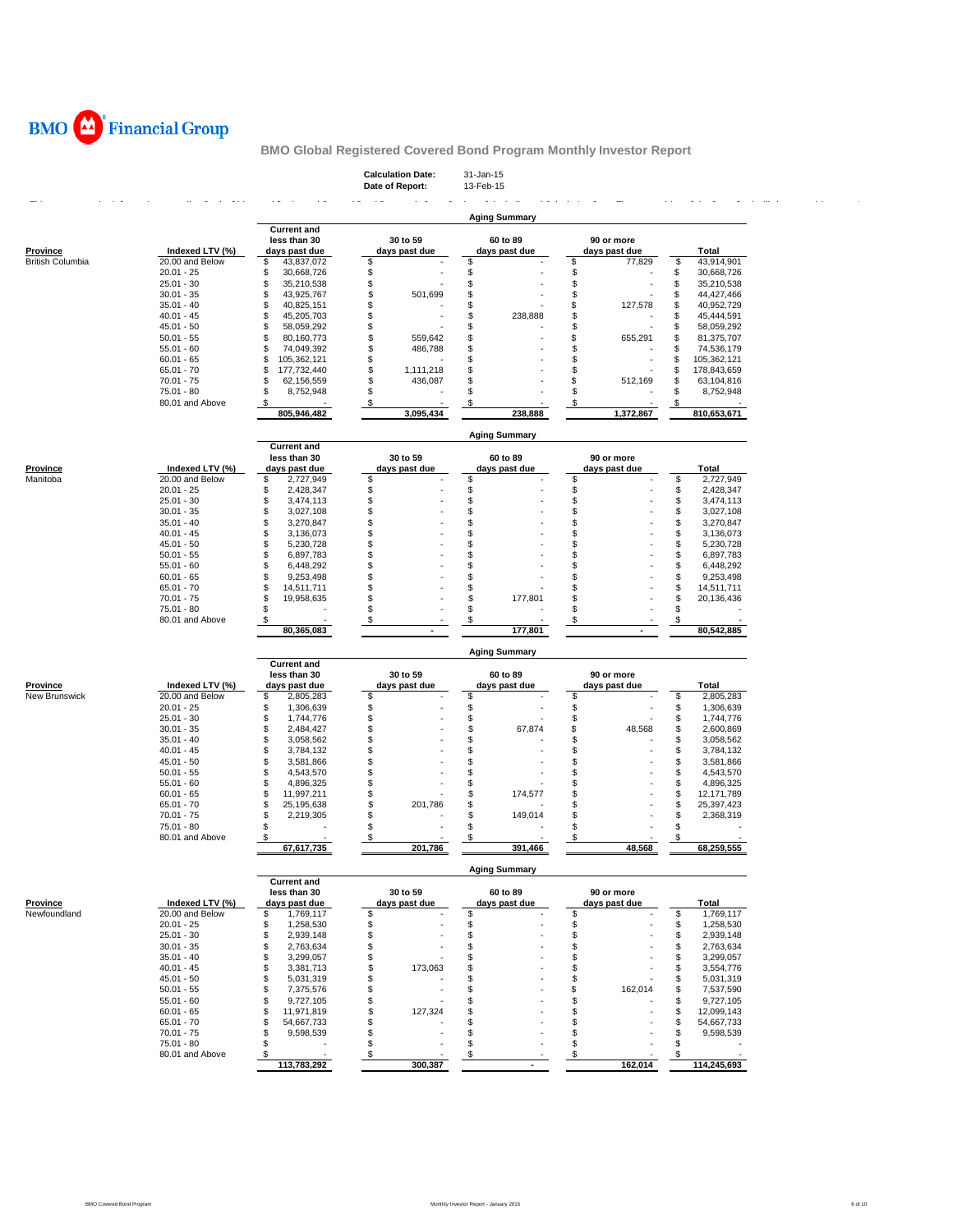

| <b>Calculation Date:</b> | 31-Jan-15 |
|--------------------------|-----------|
| Date of Report:          | 13-Feb-15 |

|                                     |                                    |                                      |                           | <b>Aging Summary</b> |                               |                                      |
|-------------------------------------|------------------------------------|--------------------------------------|---------------------------|----------------------|-------------------------------|--------------------------------------|
|                                     |                                    | <b>Current and</b>                   |                           |                      |                               |                                      |
|                                     |                                    | less than 30                         | 30 to 59<br>days past due | 60 to 89             | 90 or more                    | Total                                |
| <b>Province</b><br>British Columbia | Indexed LTV (%)<br>20.00 and Below | days past due<br>S<br>43,837,072     | \$                        | days past due<br>\$  | days past due<br>\$<br>77,829 | \$<br>43,914,901                     |
|                                     | $20.01 - 25$                       | \$<br>30,668,726                     | \$                        | \$                   | \$                            | \$<br>30,668,726                     |
|                                     | $25.01 - 30$                       | \$<br>35,210,538                     | \$                        | \$                   | \$                            | \$<br>35,210,538                     |
|                                     | $30.01 - 35$                       | \$<br>43,925,767                     | \$<br>501,699             | \$                   | \$                            | \$<br>44,427,466                     |
|                                     | $35.01 - 40$                       | \$<br>40,825,151                     | \$                        | \$                   | \$<br>127,578                 | \$<br>40,952,729                     |
|                                     | $40.01 - 45$                       | \$<br>45,205,703                     | \$                        | \$<br>238,888        | \$                            | S<br>45,444,591                      |
|                                     | $45.01 - 50$                       | \$<br>58,059,292                     | \$                        | \$                   | \$                            | S<br>58,059,292                      |
|                                     | $50.01 - 55$                       | \$<br>80,160,773                     | \$<br>559,642             | \$                   | \$<br>655,291                 | 81,375,707<br>\$                     |
|                                     | $55.01 - 60$                       | \$<br>74,049,392                     | \$<br>486,788             | \$                   | \$                            | S<br>74,536,179                      |
|                                     | $60.01 - 65$                       | \$<br>105,362,121                    | \$                        | \$                   | \$                            | S<br>105,362,121                     |
|                                     | $65.01 - 70$                       | \$<br>177,732,440                    | \$<br>1,111,218           | \$                   | \$                            | \$<br>178,843,659                    |
|                                     | $70.01 - 75$                       | \$<br>62,156,559                     | \$<br>436,087             | \$                   | \$<br>512,169                 | S<br>63,104,816                      |
|                                     | 75.01 - 80                         | \$<br>8,752,948                      | \$                        | \$                   | \$                            | 8,752,948<br>S                       |
|                                     | 80.01 and Above                    | \$                                   | \$                        | \$                   | \$                            |                                      |
|                                     |                                    | 805,946,482                          | 3,095,434                 | 238,888              | 1,372,867                     | 810,653,671                          |
|                                     |                                    |                                      |                           | <b>Aging Summary</b> |                               |                                      |
|                                     |                                    | <b>Current and</b>                   |                           |                      |                               |                                      |
| Province                            | Indexed LTV (%)                    | less than 30                         | 30 to 59<br>days past due | 60 to 89             | 90 or more                    | Total                                |
| Manitoba                            | 20.00 and Below                    | days past due<br>\$<br>2,727,949     | \$                        | days past due<br>\$  | days past due<br>\$           | \$<br>2,727,949                      |
|                                     | $20.01 - 25$                       | \$<br>2,428,347                      | \$                        | \$                   | \$                            | \$<br>2,428,347                      |
|                                     | $25.01 - 30$                       | \$<br>3,474,113                      | \$                        | \$                   | \$                            | \$<br>3,474,113                      |
|                                     | $30.01 - 35$                       | \$<br>3,027,108                      | \$                        | \$                   | \$                            | \$<br>3,027,108                      |
|                                     | $35.01 - 40$                       | \$<br>3,270,847                      | \$                        | \$                   | \$                            | \$<br>3,270,847                      |
|                                     | $40.01 - 45$                       | \$<br>3,136,073                      | \$                        | \$                   | \$                            | \$<br>3,136,073                      |
|                                     | $45.01 - 50$                       | \$<br>5,230,728                      | \$                        | \$                   | \$                            | \$<br>5,230,728                      |
|                                     | $50.01 - 55$                       | \$<br>6,897,783                      | \$                        | \$                   | \$                            | \$<br>6,897,783                      |
|                                     | $55.01 - 60$                       | \$<br>6,448,292                      | \$                        | \$                   | \$                            | \$<br>6,448,292                      |
|                                     | $60.01 - 65$                       | \$<br>9,253,498                      | \$                        | \$                   | \$                            | \$<br>9,253,498                      |
|                                     | $65.01 - 70$                       | \$<br>14,511,711                     | \$                        | \$                   | \$                            | \$<br>14,511,711                     |
|                                     | 70.01 - 75                         | \$<br>19,958,635                     | \$                        | \$<br>177,801        | \$                            | \$<br>20,136,436                     |
|                                     | 75.01 - 80                         | \$                                   | \$                        | \$                   | \$                            | \$                                   |
|                                     | 80.01 and Above                    | \$                                   | \$                        | \$                   | \$                            | \$                                   |
|                                     |                                    | 80,365,083                           |                           | 177,801              |                               | 80,542,885                           |
|                                     |                                    |                                      |                           | <b>Aging Summary</b> |                               |                                      |
|                                     |                                    | <b>Current and</b><br>less than 30   | 30 to 59                  | 60 to 89             | 90 or more                    |                                      |
| <b>Province</b>                     | Indexed LTV (%)                    | days past due                        | days past due             | days past due        | days past due                 | Total                                |
| New Brunswick                       | 20.00 and Below                    | \$<br>2,805,283                      | \$                        | \$                   | \$                            | \$<br>2,805,283                      |
|                                     | $20.01 - 25$                       | \$<br>1,306,639                      | \$                        | \$                   | \$                            | \$<br>1,306,639                      |
|                                     | $25.01 - 30$                       | \$<br>1,744,776                      | \$                        | \$                   | \$                            | \$<br>1,744,776                      |
|                                     | $30.01 - 35$                       | \$<br>2,484,427                      | \$                        | \$<br>67,874         | \$<br>48,568                  | \$<br>2,600,869                      |
|                                     | $35.01 - 40$                       | \$<br>3,058,562                      | \$                        | \$                   | \$                            | \$<br>3,058,562                      |
|                                     | $40.01 - 45$                       | \$<br>3,784,132                      | \$                        | \$                   | \$                            | \$<br>3,784,132                      |
|                                     | $45.01 - 50$                       | \$<br>3,581,866                      | \$                        | \$                   | \$                            | \$<br>3,581,866                      |
|                                     | $50.01 - 55$                       | \$<br>4,543,570                      | \$                        | \$                   | \$                            | \$<br>4,543,570                      |
|                                     | $55.01 - 60$                       | \$<br>4,896,325                      | \$<br>\$                  | \$<br>\$             | \$<br>\$                      | \$<br>4,896,325                      |
|                                     | $60.01 - 65$<br>65.01 - 70         | \$<br>11,997,211<br>\$<br>25,195,638 | \$<br>201,786             | 174,577<br>\$        | \$                            | \$<br>12,171,789<br>\$<br>25,397,423 |
|                                     | $70.01 - 75$                       | \$<br>2,219,305                      | \$                        | \$<br>149,014        | \$                            | \$<br>2,368,319                      |
|                                     | 75.01 - 80                         | \$                                   | \$                        | \$                   | \$                            | \$                                   |
|                                     | 80.01 and Above                    | -\$                                  | \$                        | \$                   | S                             | \$                                   |
|                                     |                                    | 67,617,735                           | 201,786                   | 391,466              | 48,568                        | 68,259,555                           |
|                                     |                                    |                                      |                           | <b>Aging Summary</b> |                               |                                      |
|                                     |                                    | <b>Current and</b>                   |                           |                      |                               |                                      |
|                                     |                                    | less than 30                         | 30 to 59                  | 60 to 89             | 90 or more                    |                                      |
| <u>Province</u>                     | Indexed LTV (%)                    | days past due                        | aays past aut             | aays past au         | aays past au                  | <u>Total</u>                         |
| Newfoundland                        | 20.00 and Below<br>$20.01 - 25$    | \$<br>1,769,117<br>1,258,530<br>\$   | \$<br>\$                  | \$<br>\$             | \$<br>\$                      | \$<br>1,769,117<br>\$<br>1,258,530   |
|                                     | $25.01 - 30$                       | 2,939,148<br>\$                      | \$                        | \$                   | \$                            | \$<br>2,939,148                      |
|                                     | $30.01 - 35$                       | \$<br>2,763,634                      | \$                        | \$                   | \$                            | \$<br>2,763,634                      |
|                                     | $35.01 - 40$                       | \$<br>3,299,057                      | \$                        | \$                   | \$                            | \$<br>3,299,057                      |
|                                     | $40.01 - 45$                       | \$<br>3,381,713                      | \$<br>173,063             | \$                   | \$                            | 3,554,776<br>\$                      |
|                                     |                                    | \$<br>5,031,319                      | \$                        | \$                   | \$                            | \$<br>5,031,319                      |
|                                     |                                    |                                      |                           |                      |                               | \$<br>7,537,590                      |
|                                     | $45.01 - 50$                       | \$                                   |                           | \$                   |                               |                                      |
|                                     | $50.01 - 55$<br>$55.01 - 60$       | 7,375,576<br>9,727,105<br>\$         | \$<br>\$                  | \$                   | \$<br>162,014<br>\$           | 9,727,105<br>\$                      |
|                                     | $60.01 - 65$                       | \$<br>11,971,819                     | \$<br>127,324             | \$                   | \$                            | \$<br>12,099,143                     |
|                                     | $65.01 - 70$                       | \$<br>54,667,733                     | \$                        | \$                   | \$                            | \$<br>54,667,733                     |
|                                     | $70.01 - 75$                       | 9,598,539<br>\$                      | \$                        | \$                   | \$                            | 9,598,539<br>\$                      |
|                                     | $75.01 - 80$                       | \$                                   | \$                        | \$                   | \$                            | \$                                   |
|                                     | 80.01 and Above                    | \$<br>113,783,292                    | \$<br>300,387             | \$                   | \$<br>162,014                 | \$<br>114,245,693                    |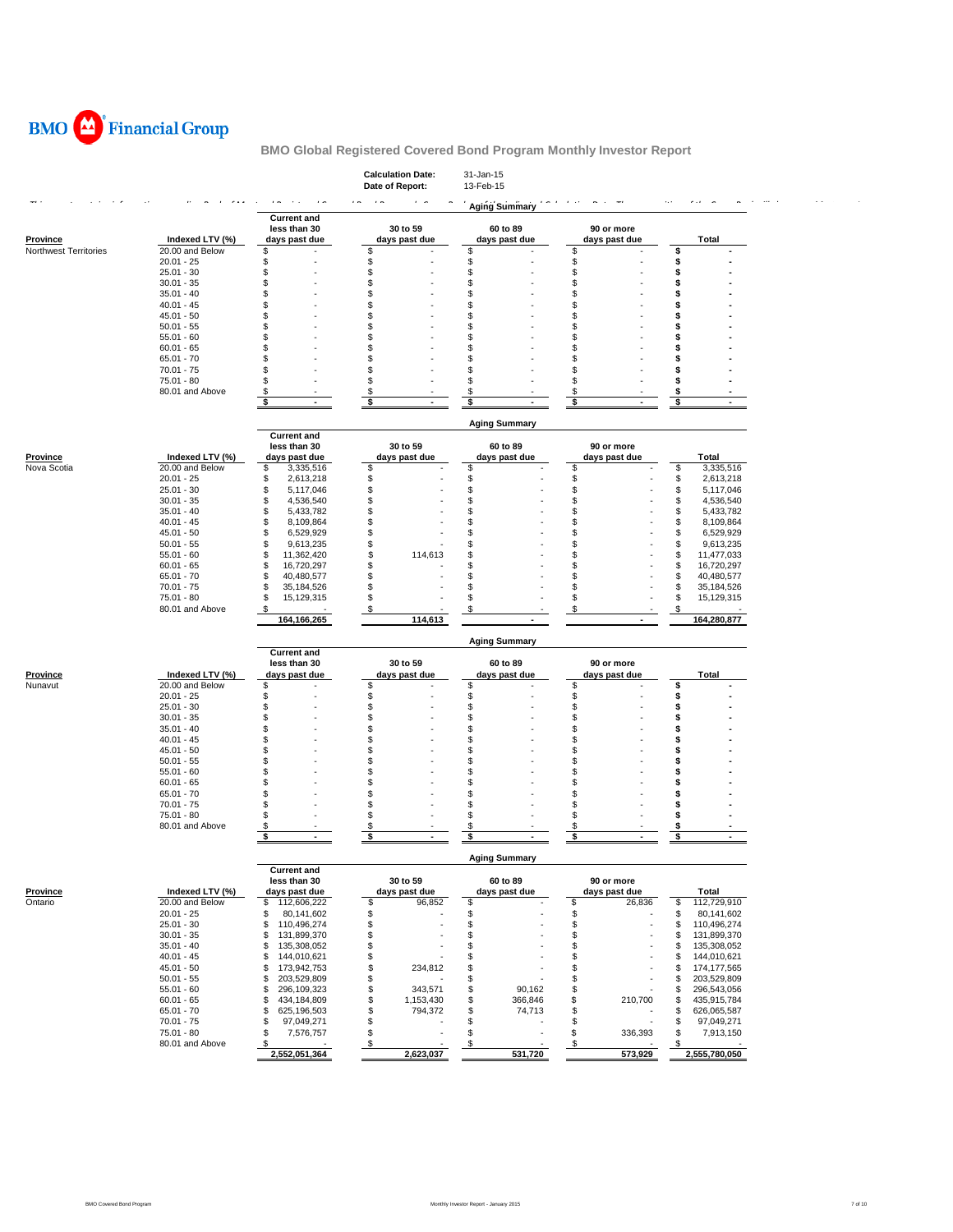

|                       |                                 |                                            | <b>Calculation Date:</b><br>Date of Report: | 31-Jan-15<br>13-Feb-15    |                             |                                    |
|-----------------------|---------------------------------|--------------------------------------------|---------------------------------------------|---------------------------|-----------------------------|------------------------------------|
|                       |                                 |                                            |                                             | <b>Aging Summary</b>      |                             | $\sim$                             |
|                       |                                 | <b>Current and</b>                         |                                             |                           |                             |                                    |
| <b>Province</b>       | Indexed LTV (%)                 | less than 30<br>days past due              | 30 to 59<br>days past due                   | 60 to 89<br>days past due | 90 or more<br>days past due | Total                              |
| Northwest Territories | 20.00 and Below                 | \$                                         | \$                                          | \$                        | \$                          | \$                                 |
|                       | $20.01 - 25$                    | \$                                         | \$                                          | \$                        | \$                          | \$                                 |
|                       | $25.01 - 30$                    | \$                                         | \$                                          | \$                        | \$                          | \$                                 |
|                       | $30.01 - 35$                    | S                                          | \$                                          | \$                        | S                           | \$                                 |
|                       | $35.01 - 40$                    | S                                          | \$                                          | S                         | S                           | S                                  |
|                       | $40.01 - 45$                    | S.                                         | \$                                          | S                         | S                           | S                                  |
|                       | $45.01 - 50$                    | S                                          | \$                                          | S                         | S                           | \$                                 |
|                       | $50.01 - 55$                    | S.                                         | \$                                          | S                         | S                           | S                                  |
|                       | $55.01 - 60$                    | S                                          | \$                                          | S                         | S                           | s                                  |
|                       | $60.01 - 65$                    | S.                                         | \$                                          | S.                        | S                           |                                    |
|                       | $65.01 - 70$                    | S                                          | \$                                          | S                         | S                           | s                                  |
|                       | $70.01 - 75$                    | \$                                         | \$                                          | \$                        | \$                          | S                                  |
|                       | $75.01 - 80$<br>80.01 and Above | S.                                         | \$                                          | S.                        | \$                          | S                                  |
|                       |                                 | S<br>\$                                    | $\boldsymbol{\mathsf{s}}$<br>\$             | S<br>\$                   | S<br>\$                     | s<br>\$                            |
|                       |                                 |                                            |                                             |                           |                             |                                    |
|                       |                                 |                                            |                                             | <b>Aging Summary</b>      |                             |                                    |
|                       |                                 | <b>Current and</b>                         |                                             |                           |                             |                                    |
|                       |                                 | less than 30                               | 30 to 59                                    | 60 to 89                  | 90 or more                  |                                    |
| Province              | Indexed LTV (%)                 | days past due                              | days past due                               | days past due             | days past due               | Total                              |
| Nova Scotia           | 20.00 and Below                 | S<br>3,335,516                             | \$                                          | \$                        | \$                          | \$<br>3,335,516                    |
|                       | $20.01 - 25$                    | 2,613,218<br>S                             | \$                                          | S                         | \$                          | \$<br>2,613,218                    |
|                       | $25.01 - 30$                    | 5,117,046<br>S                             | \$                                          | S                         | S                           | \$<br>5,117,046                    |
|                       | $30.01 - 35$                    | 4,536,540<br>\$                            | \$<br>\$                                    | S                         | \$                          | \$<br>4,536,540                    |
|                       | $35.01 - 40$<br>$40.01 - 45$    | \$<br>5,433,782<br>8,109,864<br>S          | \$                                          | S<br>S                    | \$<br>S                     | \$<br>5,433,782<br>\$<br>8,109,864 |
|                       | $45.01 - 50$                    | 6,529,929<br>S                             | \$                                          | \$                        | S                           | \$<br>6,529,929                    |
|                       | $50.01 - 55$                    | 9,613,235<br>S                             | \$                                          | S.                        | \$                          | \$<br>9,613,235                    |
|                       | $55.01 - 60$                    | 11,362,420<br>S                            | S<br>114,613                                | S                         | S                           | \$<br>11,477,033                   |
|                       | $60.01 - 65$                    | 16,720,297<br>S                            | \$                                          | S                         | S                           | \$<br>16,720,297                   |
|                       | $65.01 - 70$                    | S<br>40,480,577                            | \$                                          | S                         | S                           | \$<br>40,480,577                   |
|                       | $70.01 - 75$                    | 35,184,526<br>S                            | \$                                          | S                         | \$                          | \$<br>35,184,526                   |
|                       | $75.01 - 80$                    | 15,129,315<br>S                            | \$                                          | S.                        | S                           | \$<br>15,129,315                   |
|                       | 80.01 and Above                 | S                                          | \$                                          | S                         | S                           | \$                                 |
|                       |                                 | 164,166,265                                | 114,613                                     |                           |                             | 164,280,877                        |
|                       |                                 |                                            |                                             | <b>Aging Summary</b>      |                             |                                    |
|                       |                                 | <b>Current and</b>                         |                                             |                           |                             |                                    |
|                       |                                 | less than 30                               | 30 to 59                                    | 60 to 89                  | 90 or more                  |                                    |
| <b>Province</b>       | Indexed LTV (%)                 | days past due                              | days past due                               | days past due             | days past due               | Total                              |
| Nunavut               | 20.00 and Below                 | \$                                         | \$                                          | \$                        | \$                          | \$                                 |
|                       | $20.01 - 25$                    | \$                                         | \$                                          | \$                        | \$                          | \$                                 |
|                       | $25.01 - 30$                    | \$                                         | \$                                          | \$                        | \$                          | \$                                 |
|                       | $30.01 - 35$                    | S                                          | \$                                          | S                         | S                           | \$                                 |
|                       | $35.01 - 40$                    | S                                          | \$                                          | S                         | S                           | Ŝ                                  |
|                       | $40.01 - 45$                    | S.                                         | \$                                          | S                         | S                           | s                                  |
|                       | $45.01 - 50$                    | S.<br>S.                                   | \$<br>\$.                                   | S<br>\$                   | S<br>S                      | S<br>\$                            |
|                       | $50.01 - 55$<br>$55.01 - 60$    | S.                                         | \$                                          | S                         | S                           | S                                  |
|                       | $60.01 - 65$                    | S                                          | \$                                          | S                         | S                           | \$                                 |
|                       | $65.01 - 70$                    | S.                                         | \$                                          | S.                        | £.                          | S                                  |
|                       | $70.01 - 75$                    | S.                                         | \$                                          | S                         | S                           | S                                  |
|                       | $75.01 - 80$                    | S                                          | \$                                          | S                         | £.                          | \$                                 |
|                       | 80.01 and Above                 | s                                          | S                                           |                           |                             |                                    |
|                       |                                 | \$                                         | \$                                          | s                         |                             | \$                                 |
|                       |                                 |                                            |                                             |                           |                             |                                    |
|                       |                                 | <b>Current and</b>                         |                                             | <b>Aging Summary</b>      |                             |                                    |
|                       |                                 | less than 30                               | 30 to 59                                    | 60 to 89                  | 90 or more                  |                                    |
| Province              | Indexed LTV (%)                 | days past due                              | days past due                               | days past due             | days past due               | Total                              |
| Ontario               | 20.00 and Below                 | \$112,606,222                              | \$<br>96,852                                | \$                        | \$<br>26,836                | \$<br>112,729,910                  |
|                       | $20.01 - 25$                    | \$<br>80,141,602                           | \$                                          | \$                        | \$                          | \$<br>80,141,602                   |
|                       | $25.01 - 30$                    | \$<br>110,496,274                          | \$                                          | \$                        | \$                          | \$<br>110,496,274                  |
|                       | $30.01 - 35$                    | \$<br>131,899,370                          | \$                                          | S                         | \$                          | \$<br>131,899,370                  |
|                       | $35.01 - 40$                    | \$<br>135,308,052                          | \$                                          | \$                        | \$                          | \$<br>135,308,052                  |
|                       | $40.01 - 45$                    | \$<br>144,010,621                          | \$                                          | \$                        | \$                          | \$<br>144,010,621                  |
|                       | $45.01 - 50$                    | \$<br>173,942,753                          | \$<br>234,812                               | \$                        | \$                          | \$<br>174,177,565                  |
|                       | $50.01 - 55$                    | 203,529,809<br>\$                          | \$                                          | \$                        | \$                          | \$<br>203,529,809                  |
|                       | $55.01 - 60$                    | 296,109,323<br>\$                          | \$<br>343,571                               | 90,162<br>\$              | \$                          | \$<br>296,543,056                  |
|                       | $60.01 - 65$                    | \$<br>434,184,809                          | \$<br>1,153,430                             | \$<br>366,846             | \$<br>210,700               | \$<br>435,915,784                  |
|                       | $65.01 - 70$                    | \$<br>625,196,503                          | \$<br>794,372                               | \$<br>74,713              | \$                          | \$<br>626,065,587                  |
|                       | $70.01 - 75$                    | 97,049,271<br>\$                           | \$                                          | \$                        | \$                          | \$<br>97,049,271                   |
|                       | $75.01 - 80$                    | \$<br>7,576,757                            | \$                                          | \$                        | \$<br>336,393               | \$<br>7,913,150<br>\$              |
|                       | 80.01 and Above                 | $\boldsymbol{\mathsf{S}}$<br>2,552,051,364 | $\boldsymbol{\mathsf{S}}$<br>2,623,037      | \$<br>531,720             | \$<br>573,929               | 2,555,780,050                      |
|                       |                                 |                                            |                                             |                           |                             |                                    |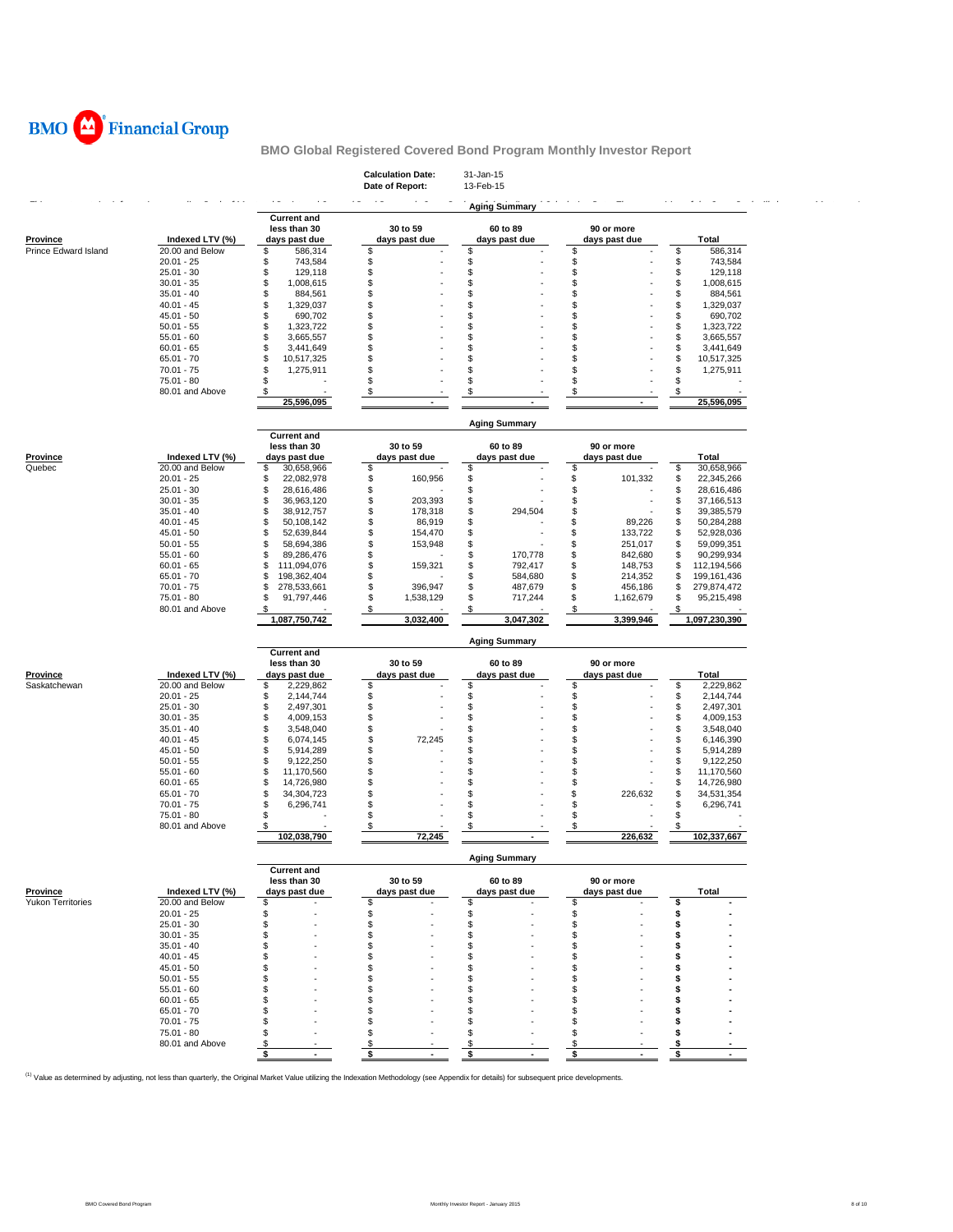

|                          |                                    |                                       | <b>Calculation Date:</b><br>Date of Report: | 31-Jan-15<br>13-Feb-15         |                                |                                       |
|--------------------------|------------------------------------|---------------------------------------|---------------------------------------------|--------------------------------|--------------------------------|---------------------------------------|
|                          |                                    |                                       |                                             | <b>Aging Summary</b>           |                                |                                       |
|                          |                                    | <b>Current and</b><br>less than 30    | 30 to 59                                    | 60 to 89                       | 90 or more                     |                                       |
| <b>Province</b>          | Indexed LTV (%)                    | days past due                         | days past due                               | days past due                  | days past due                  | Total                                 |
| Prince Edward Island     | 20.00 and Below                    | \$<br>586,314                         | \$                                          | \$                             | \$                             | 586,314<br>\$                         |
|                          | $20.01 - 25$                       | \$<br>743,584                         | \$<br>\$                                    | \$<br>\$                       | \$<br>\$                       | \$<br>743,584                         |
|                          | $25.01 - 30$<br>$30.01 - 35$       | \$<br>129,118<br>\$<br>1,008,615      | \$                                          | S                              | \$                             | \$<br>129,118<br>\$<br>1,008,615      |
|                          | $35.01 - 40$                       | \$<br>884,561                         | \$                                          | S                              | S                              | \$<br>884,561                         |
|                          | $40.01 - 45$                       | \$<br>1,329,037                       | \$                                          | S                              | S                              | \$<br>1,329,037                       |
|                          | $45.01 - 50$                       | \$<br>690,702                         | \$                                          | S                              | \$                             | \$<br>690,702                         |
|                          | $50.01 - 55$                       | \$<br>1,323,722                       | \$                                          | S                              | S                              | \$<br>1,323,722                       |
|                          | $55.01 - 60$                       | \$<br>3,665,557                       | \$                                          | S                              | S                              | \$<br>3,665,557                       |
|                          | $60.01 - 65$                       | \$<br>3,441,649                       | \$                                          | S                              | S                              | \$<br>3,441,649                       |
|                          | $65.01 - 70$<br>$70.01 - 75$       | \$<br>10,517,325<br>\$<br>1,275,911   | \$<br>\$.                                   | S<br>\$                        | S<br>\$                        | \$<br>10,517,325<br>\$<br>1,275,911   |
|                          | $75.01 - 80$                       | \$                                    | \$.                                         | \$                             | S                              | \$                                    |
|                          | 80.01 and Above                    | -\$                                   | \$                                          | S                              | S                              | \$                                    |
|                          |                                    | 25,596,095                            |                                             |                                |                                | 25,596,095                            |
|                          |                                    |                                       |                                             | <b>Aging Summary</b>           |                                |                                       |
|                          |                                    | <b>Current and</b>                    |                                             |                                |                                |                                       |
|                          |                                    | less than 30                          | 30 to 59                                    | 60 to 89                       | 90 or more                     |                                       |
| Province<br>Quebec       | Indexed LTV (%)<br>20.00 and Below | days past due<br>\$<br>30,658,966     | days past due<br>\$                         | days past due<br>\$            | days past due<br>\$            | Total<br>\$<br>30,658,966             |
|                          | $20.01 - 25$                       | \$<br>22,082,978                      | 160,956<br>\$                               | \$                             | \$<br>101,332                  | \$<br>22,345,266                      |
|                          | $25.01 - 30$                       | \$<br>28,616,486                      | \$                                          | \$                             | S                              | \$<br>28,616,486                      |
|                          | $30.01 - 35$                       | \$<br>36,963,120                      | \$<br>203,393                               | \$                             | \$                             | \$<br>37,166,513                      |
|                          | $35.01 - 40$                       | \$<br>38,912,757                      | \$<br>178,318                               | \$<br>294,504                  | \$                             | \$<br>39,385,579                      |
|                          | $40.01 - 45$                       | \$<br>50,108,142                      | \$<br>86,919                                | \$                             | \$<br>89,226                   | \$<br>50,284,288                      |
|                          | $45.01 - 50$                       | \$<br>52,639,844                      | \$<br>154,470                               | \$                             | \$<br>133,722                  | \$<br>52,928,036                      |
|                          | $50.01 - 55$<br>$55.01 - 60$       | \$<br>58,694,386                      | \$<br>153,948                               | \$                             | \$<br>251,017                  | \$<br>59,099,351                      |
|                          | $60.01 - 65$                       | \$<br>89,286,476<br>\$<br>111,094,076 | \$<br>\$<br>159,321                         | \$<br>170,778<br>\$<br>792,417 | \$<br>842,680<br>\$<br>148,753 | \$<br>90,299,934<br>\$<br>112,194,566 |
|                          | $65.01 - 70$                       | \$<br>198,362,404                     | \$                                          | \$<br>584,680                  | \$<br>214,352                  | \$<br>199, 161, 436                   |
|                          | $70.01 - 75$                       | \$<br>278,533,661                     | \$<br>396,947                               | \$<br>487,679                  | \$<br>456,186                  | \$<br>279,874,472                     |
|                          | $75.01 - 80$                       | \$<br>91,797,446                      | \$<br>1,538,129                             | \$<br>717,244                  | \$<br>1,162,679                | \$<br>95,215,498                      |
|                          | 80.01 and Above                    | \$                                    | \$                                          | \$                             | S                              | \$                                    |
|                          |                                    |                                       |                                             |                                |                                |                                       |
|                          |                                    | 1,087,750,742                         | 3,032,400                                   | 3,047,302                      | 3,399,946                      | 1,097,230,390                         |
|                          |                                    | <b>Current and</b>                    |                                             | <b>Aging Summary</b>           |                                |                                       |
|                          |                                    | less than 30                          | 30 to 59                                    | 60 to 89                       | 90 or more                     |                                       |
| Province                 | Indexed LTV (%)                    | days past due                         | days past due                               | days past due                  | days past due                  | Total                                 |
| Saskatchewan             | 20.00 and Below                    | \$<br>2,229,862                       | \$                                          | \$                             | \$                             | \$<br>2,229,862                       |
|                          | $20.01 - 25$                       | \$<br>2,144,744                       | \$                                          | \$                             | \$                             | \$<br>2,144,744                       |
|                          | $25.01 - 30$                       | \$<br>2,497,301                       | \$                                          | \$                             | \$                             | \$<br>2,497,301                       |
|                          | $30.01 - 35$                       | \$<br>4,009,153                       | \$                                          | \$                             | \$                             | \$<br>4,009,153                       |
|                          | $35.01 - 40$<br>$40.01 - 45$       | \$<br>3,548,040<br>6,074,145          | \$<br>S<br>72,245                           | \$<br>S                        | \$<br>S                        | \$<br>3,548,040<br>\$                 |
|                          | $45.01 - 50$                       | \$<br>\$<br>5,914,289                 | \$                                          | \$.                            | S                              | 6,146,390<br>\$<br>5,914,289          |
|                          | $50.01 - 55$                       | \$<br>9,122,250                       | \$.                                         | \$.                            | S                              | \$<br>9,122,250                       |
|                          | $55.01 - 60$                       | \$<br>11,170,560                      | \$                                          | \$.                            | S                              | \$<br>11,170,560                      |
|                          | $60.01 - 65$                       | \$<br>14,726,980                      | \$                                          | S                              | \$                             | \$<br>14,726,980                      |
|                          | $65.01 - 70$                       | \$<br>34,304,723                      | \$.                                         | \$.                            | \$<br>226,632                  | \$<br>34,531,354                      |
|                          | $70.01 - 75$                       | \$<br>6,296,741                       | \$                                          | S                              | S                              | \$<br>6,296,741                       |
|                          | 75.01 - 80<br>80.01 and Above      | \$<br>$\sqrt{3}$                      | \$<br>\$                                    | S<br>S                         | \$<br>S                        | \$<br>\$.                             |
|                          |                                    | 102,038,790                           | 72,245                                      |                                | 226,632                        | 102,337,667                           |
|                          |                                    |                                       |                                             | <b>Aging Summary</b>           |                                |                                       |
|                          |                                    | <b>Current and</b>                    |                                             |                                |                                |                                       |
| Province                 | Indexed LTV (%)                    | less than 30<br>days past due         | 30 to 59<br>days past due                   | 60 to 89<br>days past due      | 90 or more<br>days past due    | Total                                 |
| <b>Yukon Territories</b> | 20.00 and Below                    | \$                                    | \$                                          | \$                             | \$                             | \$                                    |
|                          | $20.01 - 25$                       | \$                                    | \$                                          | \$                             | \$                             | \$                                    |
|                          | $25.01 - 30$                       | \$                                    | \$.                                         | S                              | \$.                            | s                                     |
|                          | $30.01 - 35$                       | S                                     | £.                                          | S                              | S                              | S                                     |
|                          | $35.01 - 40$                       | S                                     | S.                                          | S                              | S                              | s                                     |
|                          | $40.01 - 45$                       | \$                                    | \$.                                         | \$.                            | S                              | S                                     |
|                          | $45.01 - 50$                       | S                                     | £.<br>Я                                     | S<br>£.                        | S                              | s<br>S                                |
|                          | $50.01 - 55$                       | S<br>\$                               |                                             | £.                             | S<br>S                         | S                                     |
|                          | $55.01 - 60$<br>$60.01 - 65$       | \$                                    |                                             | \$.                            | S                              | S                                     |
|                          | $65.01 - 70$                       | S                                     |                                             | S                              | S                              | S                                     |
|                          | $70.01 - 75$                       | S                                     | £.                                          | £.                             | S                              | s                                     |
|                          | 75.01 - 80                         | S                                     | £.                                          | S                              | S                              | S                                     |
|                          | 80.01 and Above                    | \$<br>\$                              | \$<br>\$                                    | \$<br>\$                       | S<br>\$                        | s<br>\$                               |

<sup>(1)</sup> Value as determined by adjusting, not less than quarterly, the Original Market Value utilizing the Indexation Methodology (see Appendix for details) for subsequent price developments.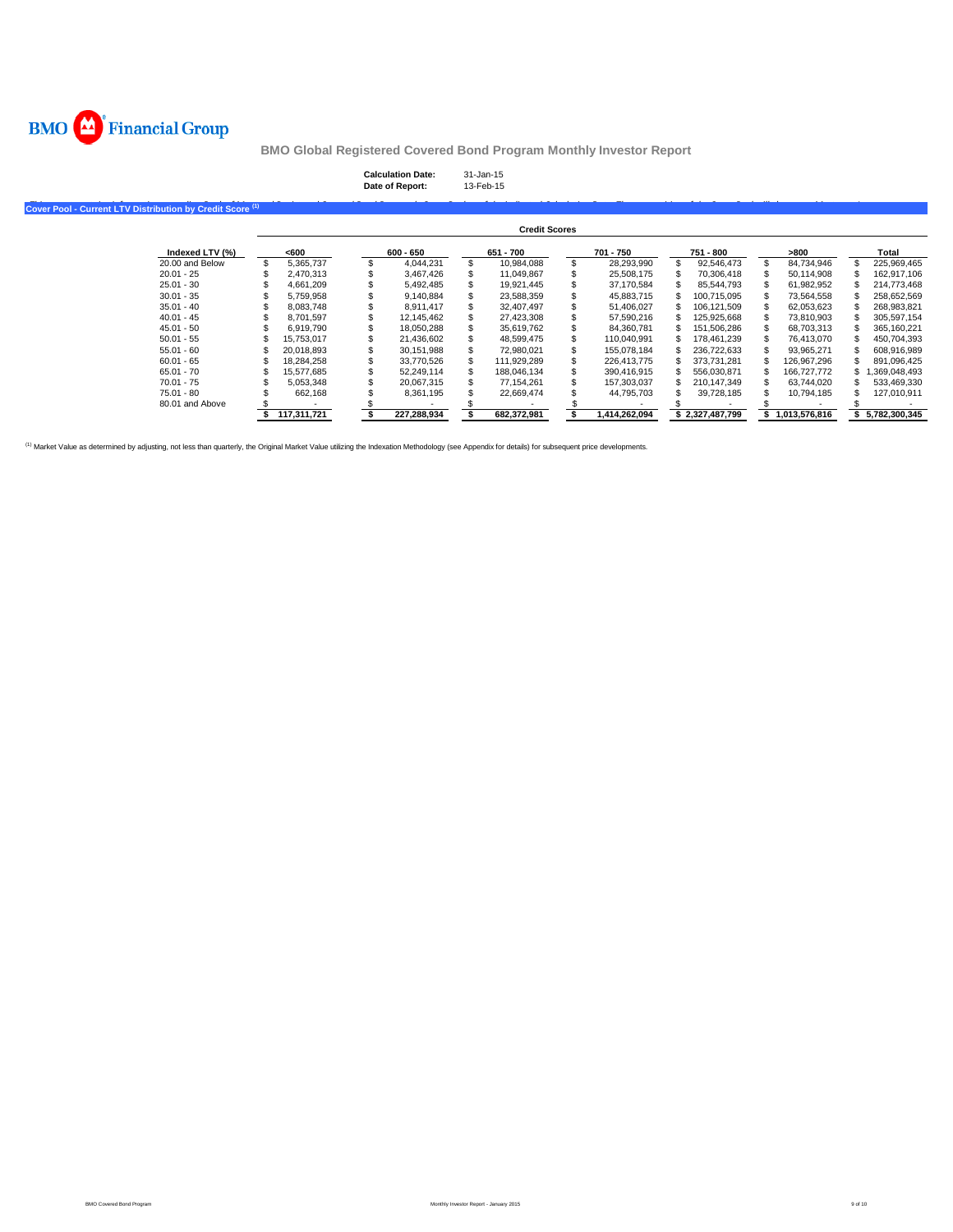

# **Calculation Date:** 31-Jan-15 **Date of Report:** 13-Feb-15

## Cover Pool - Current LTV Distribution by Credit Score<sup>(1)</sup>

|                 |             |             |     | <b>Credit Scores</b> |               |   |                 |               |               |
|-----------------|-------------|-------------|-----|----------------------|---------------|---|-----------------|---------------|---------------|
| Indexed LTV (%) | <600        | $600 - 650$ |     | 651 - 700            | 701 - 750     |   | 751 - 800       | -800          | Total         |
| 20.00 and Below | 5.365.737   | 4.044.231   |     | 10.984.088           | 28.293.990    |   | 92.546.473      | 84.734.946    | 225.969.465   |
| $20.01 - 25$    | 2.470.313   | 3.467.426   |     | 11.049.867           | 25.508.175    |   | 70.306.418      | 50.114.908    | 162.917.106   |
| $25.01 - 30$    | 4.661.209   | 5.492.485   |     | 19.921.445           | 37.170.584    |   | 85.544.793      | 61.982.952    | 214.773.468   |
| $30.01 - 35$    | 5.759.958   | 9.140.884   |     | 23.588.359           | 45.883.715    |   | 100.715.095     | 73.564.558    | 258.652.569   |
| $35.01 - 40$    | 8.083.748   | 8.911.417   |     | 32.407.497           | 51,406,027    |   | 106.121.509     | 62,053,623    | 268,983,821   |
| $40.01 - 45$    | 8.701.597   | 12.145.462  |     | 27.423.308           | 57.590.216    |   | 125.925.668     | 73.810.903    | 305.597.154   |
| $45.01 - 50$    | 6.919.790   | 18.050.288  |     | 35.619.762           | 84.360.781    | S | 151.506.286     | 68.703.313    | 365.160.221   |
| $50.01 - 55$    | 15.753.017  | 21.436.602  |     | 48.599.475           | 110.040.991   |   | 178.461.239     | 76.413.070    | 450.704.393   |
| $55.01 - 60$    | 20.018.893  | 30.151.988  |     | 72.980.021           | 155.078.184   |   | 236.722.633     | 93.965.271    | 608.916.989   |
| $60.01 - 65$    | 18.284.258  | 33.770.526  | \$. | 111.929.289          | 226.413.775   |   | 373.731.281     | 126.967.296   | 891.096.425   |
| $65.01 - 70$    | 15.577.685  | 52.249.114  |     | 188.046.134          | 390.416.915   |   | 556.030.871     | 166.727.772   | 1.369.048.493 |
| $70.01 - 75$    | 5.053.348   | 20.067.315  |     | 77.154.261           | 157.303.037   |   | 210.147.349     | 63.744.020    | 533,469,330   |
| 75.01 - 80      | 662.168     | 8.361.195   |     | 22.669.474           | 44.795.703    |   | 39.728.185      | 10.794.185    | 127.010.911   |
| 80.01 and Above |             |             |     |                      |               |   |                 |               |               |
|                 | 117.311.721 | 227.288.934 |     | 682.372.981          | 1.414.262.094 |   | \$2.327.487.799 | 1.013.576.816 | 5.782.300.345 |

(1) Market Value as determined by adjusting, not less than quarterly, the Original Market Value utilizing the Indexation Methodology (see Appendix for details) for subsequent price developments.